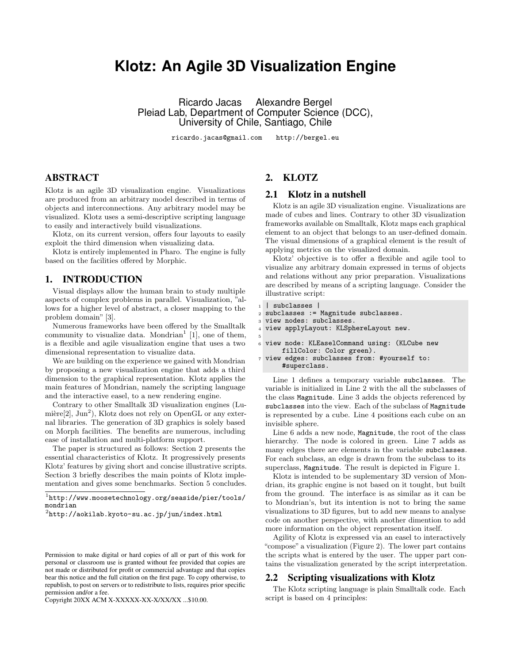# **Klotz: An Agile 3D Visualization Engine**

Ricardo Jacas Alexandre Bergel Pleiad Lab, Department of Computer Science (DCC), University of Chile, Santiago, Chile

<ricardo.jacas@gmail.com> <http://bergel.eu>

# ABSTRACT

Klotz is an agile 3D visualization engine. Visualizations are produced from an arbitrary model described in terms of objects and interconnections. Any arbitrary model may be visualized. Klotz uses a semi-descriptive scripting language to easily and interactively build visualizations.

Klotz, on its current version, offers four layouts to easily exploit the third dimension when visualizing data.

Klotz is entirely implemented in Pharo. The engine is fully based on the facilities offered by Morphic.

#### 1. INTRODUCTION

Visual displays allow the human brain to study multiple aspects of complex problems in parallel. Visualization, "allows for a higher level of abstract, a closer mapping to the problem domain" [\[3\]](#page-4-0).

Numerous frameworks have been offered by the Smalltalk community to visualize data. Mondrian<sup>[1](#page-0-0)</sup> [\[1\]](#page-4-1), one of them, is a flexible and agile visualization engine that uses a two dimensional representation to visualize data.

We are building on the experience we gained with Mondrian by proposing a new visualization engine that adds a third dimension to the graphical representation. Klotz applies the main features of Mondrian, namely the scripting language and the interactive easel, to a new rendering engine.

Contrary to other Smalltalk 3D visualization engines (Lu- $m\text{i\`ere}[2], \text{Jun}^2$  $m\text{i\`ere}[2], \text{Jun}^2$  $m\text{i\`ere}[2], \text{Jun}^2$  $m\text{i\`ere}[2], \text{Jun}^2$ , Klotz does not rely on OpenGL or any external libraries. The generation of 3D graphics is solely based on Morph facilities. The benefits are numerous, including ease of installation and multi-platform support.

The paper is structured as follows: Section [2](#page-0-2) presents the essential characteristics of Klotz. It progressively presents Klotz' features by giving short and concise illustrative scripts. Section [3](#page-3-0) briefly describes the main points of Klotz implementation and gives some benchmarks. Section [5](#page-4-3) concludes.

Copyright 20XX ACM X-XXXXX-XX-X/XX/XX ...\$10.00.

### <span id="page-0-2"></span>2. KLOTZ

#### 2.1 Klotz in a nutshell

Klotz is an agile 3D visualization engine. Visualizations are made of cubes and lines. Contrary to other 3D visualization frameworks available on Smalltalk, Klotz maps each graphical element to an object that belongs to an user-defined domain. The visual dimensions of a graphical element is the result of applying metrics on the visualized domain.

Klotz' objective is to offer a flexible and agile tool to visualize any arbitrary domain expressed in terms of objects and relations without any prior preparation. Visualizations are described by means of a scripting language. Consider the illustrative script:

- $_1$  | subclasses |
- subclasses := Magnitude subclasses.
- <sup>3</sup> view nodes: subclasses.
- <sup>4</sup> view applyLayout: KLSphereLayout new.
- 5 <sup>6</sup> view node: KLEaselCommand using: (KLCube new fillColor: Color green).

Line 1 defines a temporary variable subclasses. The variable is initialized in Line 2 with the all the subclasses of the class Magnitude. Line 3 adds the objects referenced by subclasses into the view. Each of the subclass of Magnitude is represented by a cube. Line 4 positions each cube on an invisible sphere.

Line 6 adds a new node, Magnitude, the root of the class hierarchy. The node is colored in green. Line 7 adds as many edges there are elements in the variable subclasses. For each subclass, an edge is drawn from the subclass to its superclass, Magnitude. The result is depicted in Figure [1.](#page-1-0)

Klotz is intended to be suplementary 3D version of Mondrian, its graphic engine is not based on it tought, but built from the ground. The interface is as similar as it can be to Mondrian's, but its intention is not to bring the same visualizations to 3D figures, but to add new means to analyse code on another perspective, with another dimention to add more information on the object representation itself.

Agility of Klotz is expressed via an easel to interactively "compose" a visualization (Figure [2\)](#page-1-1). The lower part contains the scripts what is entered by the user. The upper part contains the visualization generated by the script interpretation.

#### 2.2 Scripting visualizations with Klotz

The Klotz scripting language is plain Smalltalk code. Each script is based on 4 principles:

<span id="page-0-0"></span><sup>1</sup> [http://www.moosetechnology.org/seaside/pier/tools/](http://www.moosetechnology.org/seaside/pier/tools/mondrian) [mondrian](http://www.moosetechnology.org/seaside/pier/tools/mondrian)

<span id="page-0-1"></span> $^{2}$ <http://aokilab.kyoto-su.ac.jp/jun/index.html>

Permission to make digital or hard copies of all or part of this work for personal or classroom use is granted without fee provided that copies are not made or distributed for profit or commercial advantage and that copies bear this notice and the full citation on the first page. To copy otherwise, to republish, to post on servers or to redistribute to lists, requires prior specific permission and/or a fee.

<sup>7</sup> view edges: subclasses from: #yourself to: #superclass.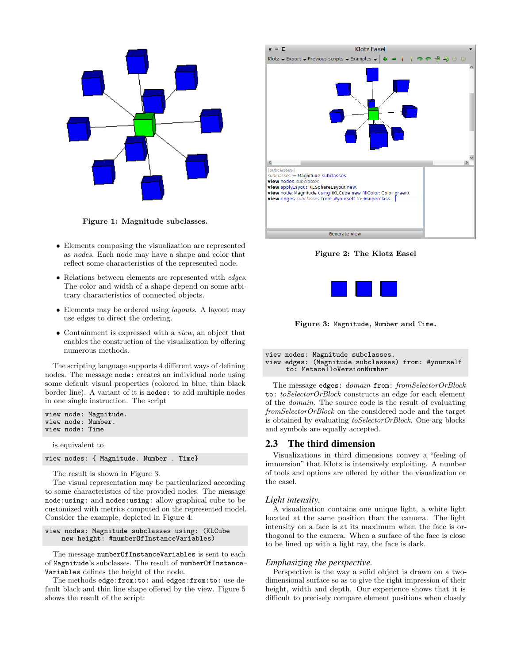<span id="page-1-0"></span>

Figure 1: Magnitude subclasses.

- Elements composing the visualization are represented as nodes. Each node may have a shape and color that reflect some characteristics of the represented node.
- Relations between elements are represented with *edges*. The color and width of a shape depend on some arbitrary characteristics of connected objects.
- Elements may be ordered using *layouts*. A layout may use edges to direct the ordering.
- Containment is expressed with a *view*, an object that enables the construction of the visualization by offering numerous methods.

The scripting language supports 4 different ways of defining nodes. The message node: creates an individual node using some default visual properties (colored in blue, thin black border line). A variant of it is nodes: to add multiple nodes in one single instruction. The script

```
view node: Magnitude.
view node: Number.
view node: Time
```
is equivalent to

#### view nodes: { Magnitude. Number . Time}

The result is shown in Figure [3.](#page-1-2)

The visual representation may be particularized according to some characteristics of the provided nodes. The message node:using: and nodes:using: allow graphical cube to be customized with metrics computed on the represented model. Consider the example, depicted in Figure [4:](#page-2-0)

```
view nodes: Magnitude subclasses using: (KLCube
    new height: #numberOfInstanceVariables)
```
The message numberOfInstanceVariables is sent to each of Magnitude's subclasses. The result of numberOfInstance-Variables defines the height of the node.

The methods edge:from:to: and edges:from:to: use default black and thin line shape offered by the view. Figure [5](#page-2-1) shows the result of the script:

<span id="page-1-1"></span>

Figure 2: The Klotz Easel

<span id="page-1-2"></span>

Figure 3: Magnitude, Number and Time.

```
view nodes: Magnitude subclasses.
view edges: (Magnitude subclasses) from: #yourself
     to: MetacelloVersionNumber
```
The message edges:  $domain$  from:  $fromSelectorOrBlock$ to:  $to SelectorOrBlock$  constructs an edge for each element of the domain. The source code is the result of evaluating fromSelectorOrBlock on the considered node and the target is obtained by evaluating toSelectorOrBlock. One-arg blocks and symbols are equally accepted.

#### 2.3 The third dimension

Visualizations in third dimensions convey a "feeling of immersion" that Klotz is intensively exploiting. A number of tools and options are offered by either the visualization or the easel.

#### *Light intensity.*

A visualization contains one unique light, a white light located at the same position than the camera. The light intensity on a face is at its maximum when the face is orthogonal to the camera. When a surface of the face is close to be lined up with a light ray, the face is dark.

#### *Emphasizing the perspective.*

Perspective is the way a solid object is drawn on a twodimensional surface so as to give the right impression of their height, width and depth. Our experience shows that it is difficult to precisely compare element positions when closely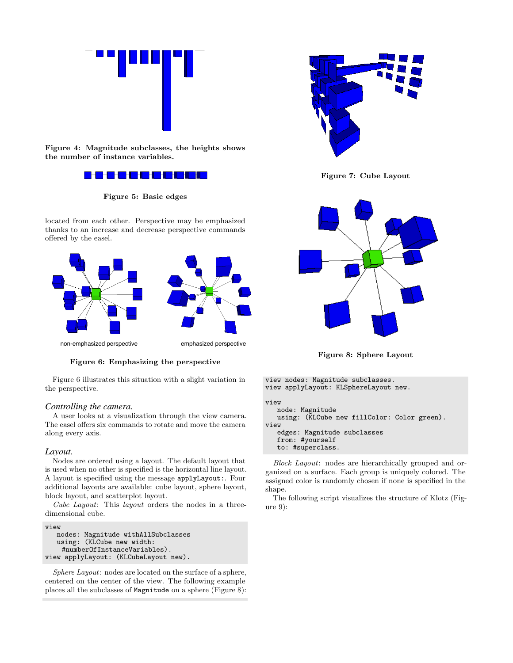<span id="page-2-0"></span>

Figure 4: Magnitude subclasses, the heights shows the number of instance variables.

<span id="page-2-1"></span>

Figure 5: Basic edges



<span id="page-2-2"></span>

Figure 6: Emphasizing the perspective

Figure [6](#page-2-2) illustrates this situation with a slight variation in the perspective.

#### *Controlling the camera.*

A user looks at a visualization through the view camera. The easel offers six commands to rotate and move the camera along every axis.

#### *Layout.*

Nodes are ordered using a layout. The default layout that is used when no other is specified is the horizontal line layout. A layout is specified using the message applyLayout:. Four additional layouts are available: cube layout, sphere layout, block layout, and scatterplot layout.

Cube Layout: This layout orders the nodes in a threedimensional cube.

```
view
   nodes: Magnitude withAllSubclasses
   using: (KLCube new width:
    #numberOfInstanceVariables).
view applyLayout: (KLCubeLayout new).
```
Sphere Layout: nodes are located on the surface of a sphere, centered on the center of the view. The following example places all the subclasses of Magnitude on a sphere (Figure [8\)](#page-2-3):



Figure 7: Cube Layout

<span id="page-2-3"></span>

Figure 8: Sphere Layout

```
view nodes: Magnitude subclasses.
view applyLayout: KLSphereLayout new.
view
  node: Magnitude
   using: (KLCube new fillColor: Color green).
view
   edges: Magnitude subclasses
   from: #yourself
   to: #superclass.
```
Block Layout: nodes are hierarchically grouped and organized on a surface. Each group is uniquely colored. The assigned color is randomly chosen if none is specified in the shape.

The following script visualizes the structure of Klotz (Figure [9\)](#page-3-1):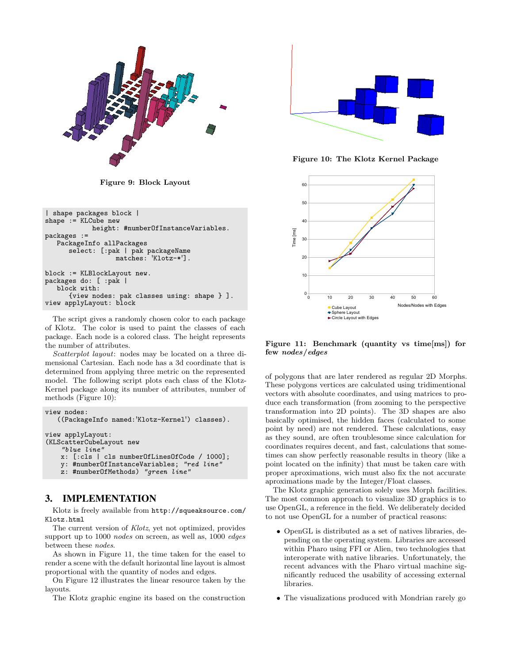<span id="page-3-1"></span>

Figure 9: Block Layout

```
| shape packages block |
shape := KLCube new
            height: #numberOfInstanceVariables.
packages :=
   PackageInfo allPackages
      select: [:pak | pak packageName
                  matches: 'Klotz-*'].
block := KLBlockLayout new.
packages do: [ :pak |
   block with:
      {view nodes: pak classes using: shape } ].
view applyLayout: block
```
The script gives a randomly chosen color to each package of Klotz. The color is used to paint the classes of each

package. Each node is a colored class. The height represents the number of attributes. Scatterplot layout: nodes may be located on a three di-

mensional Cartesian. Each node has a 3d coordinate that is determined from applying three metric on the represented model. The following script plots each class of the Klotz-Kernel package along its number of attributes, number of methods (Figure [10\)](#page-3-2):

```
view nodes:
   ((PackageInfo named:'Klotz-Kernel') classes).
view applyLayout:
(KLScatterCubeLayout new
    "blue line"
    x: [:cls | cls numberOfLinesOfCode / 1000];
    y: #numberOfInstanceVariables; "red line"
    z: #numberOfMethods) "green line"
```
# <span id="page-3-0"></span>3. IMPLEMENTATION

Klotz is freely available from [http://squeaksource.com/](http://squeaksource.com/Klotz.html) [Klotz.html](http://squeaksource.com/Klotz.html)

The current version of Klotz, yet not optimized, provides support up to 1000 *nodes* on screen, as well as, 1000 *edges* between these nodes.

As shown in Figure [11,](#page-3-3) the time taken for the easel to render a scene with the default horizontal line layout is almost proportional with the quantity of nodes and edges.

On Figure [12](#page-4-4) illustrates the linear resource taken by the layouts.

The Klotz graphic engine its based on the construction

<span id="page-3-2"></span>

Figure 10: The Klotz Kernel Package

<span id="page-3-3"></span>

Figure 11: Benchmark (quantity vs time[ms]) for few nodes/edges

of polygons that are later rendered as regular 2D Morphs. These polygons vertices are calculated using tridimentional vectors with absolute coordinates, and using matrices to produce each transformation (from zooming to the perspective transformation into 2D points). The 3D shapes are also basically optimised, the hidden faces (calculated to some point by need) are not rendered. These calculations, easy as they sound, are often troublesome since calculation for coordinates requires decent, and fast, calculations that sometimes can show perfectly reasonable results in theory (like a point located on the infinity) that must be taken care with proper aproximations, wich must also fix the not accurate aproximations made by the Integer/Float classes.

The Klotz graphic generation solely uses Morph facilities. The most common approach to visualize 3D graphics is to use OpenGL, a reference in the field. We deliberately decided to not use OpenGL for a number of practical reasons:

- OpenGL is distributed as a set of natives libraries, depending on the operating system. Libraries are accessed within Pharo using FFI or Alien, two technologies that interoperate with native libraries. Unfortunately, the recent advances with the Pharo virtual machine significantly reduced the usability of accessing external libraries.
- The visualizations produced with Mondrian rarely go